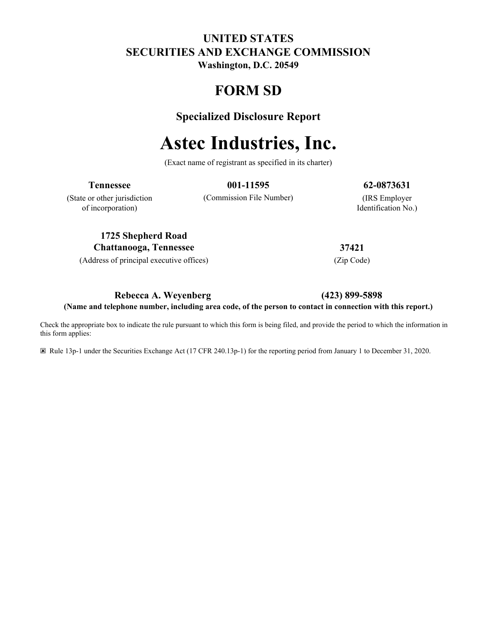# **UNITED STATES SECURITIES AND EXCHANGE COMMISSION**

**Washington, D.C. 20549**

# **FORM SD**

# **Specialized Disclosure Report**

# **Astec Industries, Inc.**

(Exact name of registrant as specified in its charter)

**Tennessee 001-11595 62-0873631**

(State or other jurisdiction of incorporation)

(Commission File Number) (IRS Employer

Identification No.)

**1725 Shepherd Road Chattanooga, Tennessee 37421**

(Address of principal executive offices) (Zip Code)

## **Rebecca A. Weyenberg (423) 899-5898**

**(Name and telephone number, including area code, of the person to contact in connection with this report.)**

Check the appropriate box to indicate the rule pursuant to which this form is being filed, and provide the period to which the information in this form applies:

☒ Rule 13p-1 under the Securities Exchange Act (17 CFR 240.13p-1) for the reporting period from January 1 to December 31, 2020.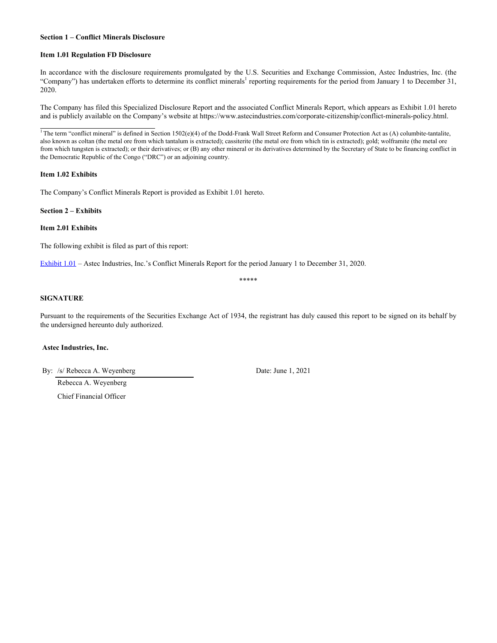#### **Section 1 – Conflict Minerals Disclosure**

#### **Item 1.01 Regulation FD Disclosure**

In accordance with the disclosure requirements promulgated by the U.S. Securities and Exchange Commission, Astec Industries, Inc. (the "Company") has undertaken efforts to determine its conflict minerals<sup>1</sup> reporting requirements for the period from January 1 to December 31, 2020.

The Company has filed this Specialized Disclosure Report and the associated Conflict Minerals Report, which appears as Exhibit 1.01 hereto and is publicly available on the Company's website at https://www.astecindustries.com/corporate-citizenship/conflict-minerals-policy.html.

<sup>1</sup> The term "conflict mineral" is defined in Section 1502(e)(4) of the Dodd-Frank Wall Street Reform and Consumer Protection Act as (A) columbite-tantalite, also known as coltan (the metal ore from which tantalum is extracted); cassiterite (the metal ore from which tin is extracted); gold; wolframite (the metal ore from which tungsten is extracted); or their derivatives; or (B) any other mineral or its derivatives determined by the Secretary of State to be financing conflict in the Democratic Republic of the Congo ("DRC") or an adjoining country.

#### **Item 1.02 Exhibits**

 $\overline{a}$ 

The Company's Conflict Minerals Report is provided as Exhibit 1.01 hereto.

**Section 2 – Exhibits**

**Item 2.01 Exhibits**

The following exhibit is filed as part of this report:

[Exhibit 1.01](wurl://docs.v1/doc:26daca1b6b9245ee8156adced5cda5d4) – Astec Industries, Inc.'s Conflict Minerals Report for the period January 1 to December 31, 2020.

\*\*\*\*\*

#### **SIGNATURE**

Pursuant to the requirements of the Securities Exchange Act of 1934, the registrant has duly caused this report to be signed on its behalf by the undersigned hereunto duly authorized.

#### **Astec Industries, Inc.**

By: /s/ Rebecca A. Weyenberg Date: June 1, 2021

Rebecca A. Weyenberg

Chief Financial Officer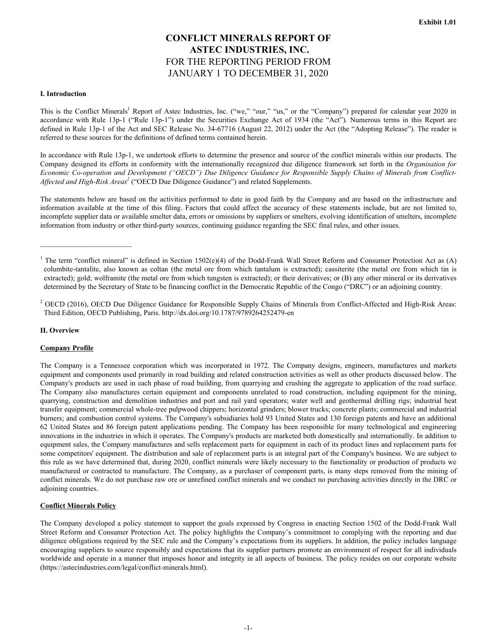## **CONFLICT MINERALS REPORT OF ASTEC INDUSTRIES, INC.**  FOR THE REPORTING PERIOD FROM JANUARY 1 TO DECEMBER 31, 2020

#### **I. Introduction**

This is the Conflict Minerals<sup>1</sup> Report of Astec Industries, Inc. ("we," "our," "us," or the "Company") prepared for calendar year 2020 in accordance with Rule 13p-1 ("Rule 13p-1") under the Securities Exchange Act of 1934 (the "Act"). Numerous terms in this Report are defined in Rule 13p-1 of the Act and SEC Release No. 34-67716 (August 22, 2012) under the Act (the "Adopting Release"). The reader is referred to these sources for the definitions of defined terms contained herein.

In accordance with Rule 13p-1, we undertook efforts to determine the presence and source of the conflict minerals within our products. The Company designed its efforts in conformity with the internationally recognized due diligence framework set forth in the *Organisation for Economic Co-operation and Development ("OECD") Due Diligence Guidance for Responsible Supply Chains of Minerals from Conflict-Affected and High-Risk Areas<sup>2</sup>* ("OECD Due Diligence Guidance") and related Supplements.

The statements below are based on the activities performed to date in good faith by the Company and are based on the infrastructure and information available at the time of this filing. Factors that could affect the accuracy of these statements include, but are not limited to, incomplete supplier data or available smelter data, errors or omissions by suppliers or smelters, evolving identification of smelters, incomplete information from industry or other third-party sources, continuing guidance regarding the SEC final rules, and other issues.

#### **II. Overview**

#### **Company Profile**

The Company is a Tennessee corporation which was incorporated in 1972. The Company designs, engineers, manufactures and markets equipment and components used primarily in road building and related construction activities as well as other products discussed below. The Company's products are used in each phase of road building, from quarrying and crushing the aggregate to application of the road surface. The Company also manufactures certain equipment and components unrelated to road construction, including equipment for the mining, quarrying, construction and demolition industries and port and rail yard operators; water well and geothermal drilling rigs; industrial heat transfer equipment; commercial whole-tree pulpwood chippers; horizontal grinders; blower trucks; concrete plants; commercial and industrial burners; and combustion control systems. The Company's subsidiaries hold 93 United States and 130 foreign patents and have an additional 62 United States and 86 foreign patent applications pending. The Company has been responsible for many technological and engineering innovations in the industries in which it operates. The Company's products are marketed both domestically and internationally. In addition to equipment sales, the Company manufactures and sells replacement parts for equipment in each of its product lines and replacement parts for some competitors' equipment. The distribution and sale of replacement parts is an integral part of the Company's business. We are subject to this rule as we have determined that, during 2020, conflict minerals were likely necessary to the functionality or production of products we manufactured or contracted to manufacture. The Company, as a purchaser of component parts, is many steps removed from the mining of conflict minerals. We do not purchase raw ore or unrefined conflict minerals and we conduct no purchasing activities directly in the DRC or adjoining countries.

#### **Conflict Minerals Policy**

The Company developed a policy statement to support the goals expressed by Congress in enacting Section 1502 of the Dodd-Frank Wall Street Reform and Consumer Protection Act. The policy highlights the Company's commitment to complying with the reporting and due diligence obligations required by the SEC rule and the Company's expectations from its suppliers. In addition, the policy includes language encouraging suppliers to source responsibly and expectations that its supplier partners promote an environment of respect for all individuals worldwide and operate in a manner that imposes honor and integrity in all aspects of business. The policy resides on our corporate website (https://astecindustries.com/legal/conflict-minerals.html).

<sup>&</sup>lt;sup>1</sup> The term "conflict mineral" is defined in Section 1502(e)(4) of the Dodd-Frank Wall Street Reform and Consumer Protection Act as (A) columbite-tantalite, also known as coltan (the metal ore from which tantalum is extracted); cassiterite (the metal ore from which tin is extracted); gold; wolframite (the metal ore from which tungsten is extracted); or their derivatives; or (B) any other mineral or its derivatives determined by the Secretary of State to be financing conflict in the Democratic Republic of the Congo ("DRC") or an adjoining country.

<sup>&</sup>lt;sup>2</sup> OECD (2016), OECD Due Diligence Guidance for Responsible Supply Chains of Minerals from Conflict-Affected and High-Risk Areas: Third Edition, OECD Publishing, Paris. http://dx.doi.org/10.1787/9789264252479-en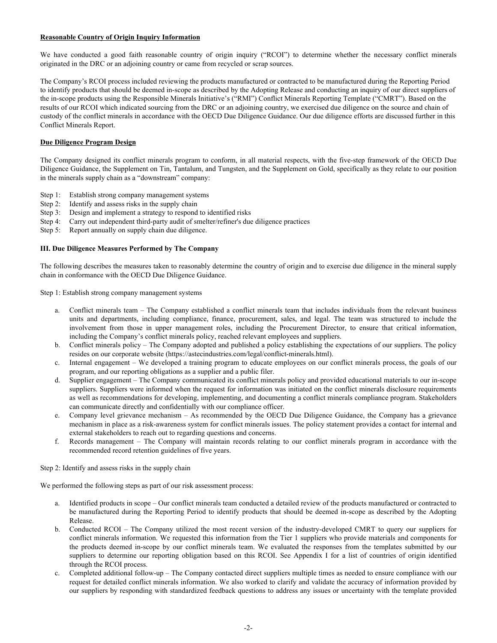#### **Reasonable Country of Origin Inquiry Information**

We have conducted a good faith reasonable country of origin inquiry ("RCOI") to determine whether the necessary conflict minerals originated in the DRC or an adjoining country or came from recycled or scrap sources.

The Company's RCOI process included reviewing the products manufactured or contracted to be manufactured during the Reporting Period to identify products that should be deemed in-scope as described by the Adopting Release and conducting an inquiry of our direct suppliers of the in-scope products using the Responsible Minerals Initiative's ("RMI") Conflict Minerals Reporting Template ("CMRT"). Based on the results of our RCOI which indicated sourcing from the DRC or an adjoining country, we exercised due diligence on the source and chain of custody of the conflict minerals in accordance with the OECD Due Diligence Guidance. Our due diligence efforts are discussed further in this Conflict Minerals Report.

#### **Due Diligence Program Design**

The Company designed its conflict minerals program to conform, in all material respects, with the five-step framework of the OECD Due Diligence Guidance, the Supplement on Tin, Tantalum, and Tungsten, and the Supplement on Gold, specifically as they relate to our position in the minerals supply chain as a "downstream" company:

- Step 1: Establish strong company management systems
- Step 2: Identify and assess risks in the supply chain
- Step 3: Design and implement a strategy to respond to identified risks
- Step 4: Carry out independent third-party audit of smelter/refiner's due diligence practices
- Step 5: Report annually on supply chain due diligence.

#### **III. Due Diligence Measures Performed by The Company**

The following describes the measures taken to reasonably determine the country of origin and to exercise due diligence in the mineral supply chain in conformance with the OECD Due Diligence Guidance.

Step 1: Establish strong company management systems

- a. Conflict minerals team The Company established a conflict minerals team that includes individuals from the relevant business units and departments, including compliance, finance, procurement, sales, and legal. The team was structured to include the involvement from those in upper management roles, including the Procurement Director, to ensure that critical information, including the Company's conflict minerals policy, reached relevant employees and suppliers.
- b. Conflict minerals policy The Company adopted and published a policy establishing the expectations of our suppliers. The policy resides on our corporate website (https://astecindustries.com/legal/conflict-minerals.html).
- c. Internal engagement We developed a training program to educate employees on our conflict minerals process, the goals of our program, and our reporting obligations as a supplier and a public filer.
- d. Supplier engagement The Company communicated its conflict minerals policy and provided educational materials to our in-scope suppliers. Suppliers were informed when the request for information was initiated on the conflict minerals disclosure requirements as well as recommendations for developing, implementing, and documenting a conflict minerals compliance program. Stakeholders can communicate directly and confidentially with our compliance officer.
- e. Company level grievance mechanism As recommended by the OECD Due Diligence Guidance, the Company has a grievance mechanism in place as a risk-awareness system for conflict minerals issues. The policy statement provides a contact for internal and external stakeholders to reach out to regarding questions and concerns.
- f. Records management The Company will maintain records relating to our conflict minerals program in accordance with the recommended record retention guidelines of five years.

Step 2: Identify and assess risks in the supply chain

We performed the following steps as part of our risk assessment process:

- a. Identified products in scope Our conflict minerals team conducted a detailed review of the products manufactured or contracted to be manufactured during the Reporting Period to identify products that should be deemed in-scope as described by the Adopting Release.
- b. Conducted RCOI The Company utilized the most recent version of the industry-developed CMRT to query our suppliers for conflict minerals information. We requested this information from the Tier 1 suppliers who provide materials and components for the products deemed in-scope by our conflict minerals team. We evaluated the responses from the templates submitted by our suppliers to determine our reporting obligation based on this RCOI. See Appendix I for a list of countries of origin identified through the RCOI process.
- c. Completed additional follow-up The Company contacted direct suppliers multiple times as needed to ensure compliance with our request for detailed conflict minerals information. We also worked to clarify and validate the accuracy of information provided by our suppliers by responding with standardized feedback questions to address any issues or uncertainty with the template provided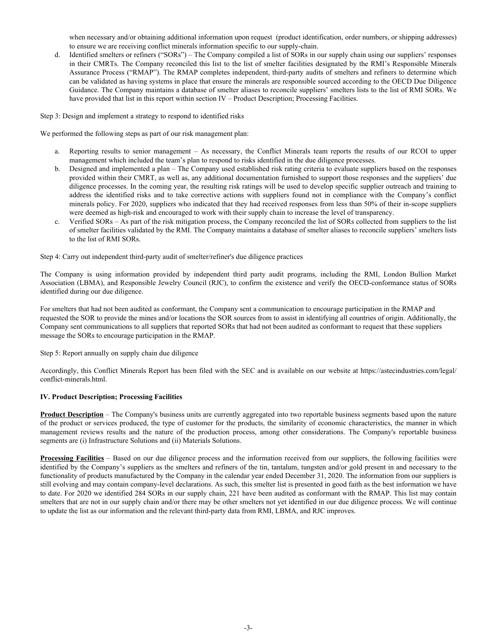when necessary and/or obtaining additional information upon request (product identification, order numbers, or shipping addresses) to ensure we are receiving conflict minerals information specific to our supply-chain.

d. Identified smelters or refiners ("SORs") – The Company compiled a list of SORs in our supply chain using our suppliers' responses in their CMRTs. The Company reconciled this list to the list of smelter facilities designated by the RMI's Responsible Minerals Assurance Process ("RMAP"). The RMAP completes independent, third-party audits of smelters and refiners to determine which can be validated as having systems in place that ensure the minerals are responsible sourced according to the OECD Due Diligence Guidance. The Company maintains a database of smelter aliases to reconcile suppliers' smelters lists to the list of RMI SORs. We have provided that list in this report within section IV – Product Description; Processing Facilities.

Step 3: Design and implement a strategy to respond to identified risks

We performed the following steps as part of our risk management plan:

- a. Reporting results to senior management As necessary, the Conflict Minerals team reports the results of our RCOI to upper management which included the team's plan to respond to risks identified in the due diligence processes.
- b. Designed and implemented a plan The Company used established risk rating criteria to evaluate suppliers based on the responses provided within their CMRT, as well as, any additional documentation furnished to support those responses and the suppliers' due diligence processes. In the coming year, the resulting risk ratings will be used to develop specific supplier outreach and training to address the identified risks and to take corrective actions with suppliers found not in compliance with the Company's conflict minerals policy. For 2020, suppliers who indicated that they had received responses from less than 50% of their in-scope suppliers were deemed as high-risk and encouraged to work with their supply chain to increase the level of transparency.
- c. Verified SORs As part of the risk mitigation process, the Company reconciled the list of SORs collected from suppliers to the list of smelter facilities validated by the RMI. The Company maintains a database of smelter aliases to reconcile suppliers' smelters lists to the list of RMI SORs.

Step 4: Carry out independent third-party audit of smelter/refiner's due diligence practices

The Company is using information provided by independent third party audit programs, including the RMI, London Bullion Market Association (LBMA), and Responsible Jewelry Council (RJC), to confirm the existence and verify the OECD-conformance status of SORs identified during our due diligence.

For smelters that had not been audited as conformant, the Company sent a communication to encourage participation in the RMAP and requested the SOR to provide the mines and/or locations the SOR sources from to assist in identifying all countries of origin. Additionally, the Company sent communications to all suppliers that reported SORs that had not been audited as conformant to request that these suppliers message the SORs to encourage participation in the RMAP.

Step 5: Report annually on supply chain due diligence

Accordingly, this Conflict Minerals Report has been filed with the SEC and is available on our website at https://astecindustries.com/legal/ conflict-minerals.html.

#### **IV. Product Description; Processing Facilities**

**Product Description** – The Company's business units are currently aggregated into two reportable business segments based upon the nature of the product or services produced, the type of customer for the products, the similarity of economic characteristics, the manner in which management reviews results and the nature of the production process, among other considerations. The Company's reportable business segments are (i) Infrastructure Solutions and (ii) Materials Solutions.

**Processing Facilities** – Based on our due diligence process and the information received from our suppliers, the following facilities were identified by the Company's suppliers as the smelters and refiners of the tin, tantalum, tungsten and/or gold present in and necessary to the functionality of products manufactured by the Company in the calendar year ended December 31, 2020. The information from our suppliers is still evolving and may contain company-level declarations. As such, this smelter list is presented in good faith as the best information we have to date. For 2020 we identified 284 SORs in our supply chain, 221 have been audited as conformant with the RMAP. This list may contain smelters that are not in our supply chain and/or there may be other smelters not yet identified in our due diligence process. We will continue to update the list as our information and the relevant third-party data from RMI, LBMA, and RJC improves.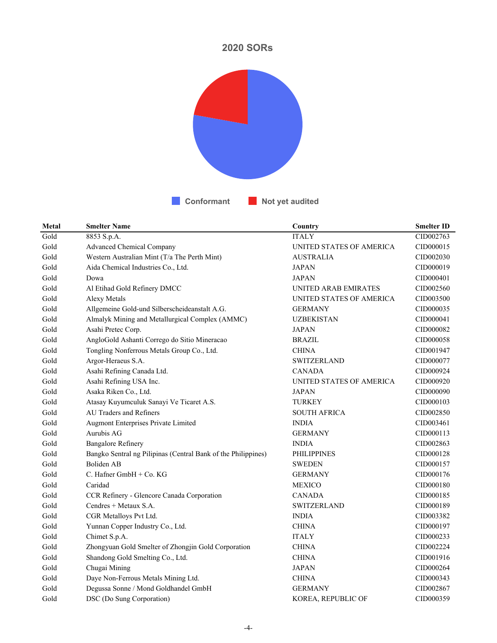# **2020 SORs**



| Metal | <b>Smelter Name</b>                                           | Country                  | <b>Smelter ID</b> |
|-------|---------------------------------------------------------------|--------------------------|-------------------|
| Gold  | 8853 S.p.A.                                                   | <b>ITALY</b>             | CID002763         |
| Gold  | <b>Advanced Chemical Company</b>                              | UNITED STATES OF AMERICA | CID000015         |
| Gold  | Western Australian Mint (T/a The Perth Mint)                  | <b>AUSTRALIA</b>         | CID002030         |
| Gold  | Aida Chemical Industries Co., Ltd.                            | <b>JAPAN</b>             | CID000019         |
| Gold  | Dowa                                                          | <b>JAPAN</b>             | CID000401         |
| Gold  | Al Etihad Gold Refinery DMCC                                  | UNITED ARAB EMIRATES     | CID002560         |
| Gold  | Alexy Metals                                                  | UNITED STATES OF AMERICA | CID003500         |
| Gold  | Allgemeine Gold-und Silberscheideanstalt A.G.                 | <b>GERMANY</b>           | CID000035         |
| Gold  | Almalyk Mining and Metallurgical Complex (AMMC)               | <b>UZBEKISTAN</b>        | CID000041         |
| Gold  | Asahi Pretec Corp.                                            | <b>JAPAN</b>             | CID000082         |
| Gold  | AngloGold Ashanti Corrego do Sitio Mineracao                  | <b>BRAZIL</b>            | CID000058         |
| Gold  | Tongling Nonferrous Metals Group Co., Ltd.                    | <b>CHINA</b>             | CID001947         |
| Gold  | Argor-Heraeus S.A.                                            | <b>SWITZERLAND</b>       | CID000077         |
| Gold  | Asahi Refining Canada Ltd.                                    | <b>CANADA</b>            | CID000924         |
| Gold  | Asahi Refining USA Inc.                                       | UNITED STATES OF AMERICA | CID000920         |
| Gold  | Asaka Riken Co., Ltd.                                         | <b>JAPAN</b>             | CID000090         |
| Gold  | Atasay Kuyumculuk Sanayi Ve Ticaret A.S.                      | <b>TURKEY</b>            | CID000103         |
| Gold  | <b>AU Traders and Refiners</b>                                | <b>SOUTH AFRICA</b>      | CID002850         |
| Gold  | Augmont Enterprises Private Limited                           | <b>INDIA</b>             | CID003461         |
| Gold  | Aurubis AG                                                    | <b>GERMANY</b>           | CID000113         |
| Gold  | <b>Bangalore Refinery</b>                                     | <b>INDIA</b>             | CID002863         |
| Gold  | Bangko Sentral ng Pilipinas (Central Bank of the Philippines) | <b>PHILIPPINES</b>       | CID000128         |
| Gold  | Boliden AB                                                    | <b>SWEDEN</b>            | CID000157         |
| Gold  | C. Hafner $GmbH + Co. KG$                                     | <b>GERMANY</b>           | CID000176         |
| Gold  | Caridad                                                       | <b>MEXICO</b>            | CID000180         |
| Gold  | CCR Refinery - Glencore Canada Corporation                    | <b>CANADA</b>            | CID000185         |
| Gold  | Cendres + Metaux S.A.                                         | <b>SWITZERLAND</b>       | CID000189         |
| Gold  | CGR Metalloys Pvt Ltd.                                        | <b>INDIA</b>             | CID003382         |
| Gold  | Yunnan Copper Industry Co., Ltd.                              | <b>CHINA</b>             | CID000197         |
| Gold  | Chimet S.p.A.                                                 | <b>ITALY</b>             | CID000233         |
| Gold  | Zhongyuan Gold Smelter of Zhongjin Gold Corporation           | <b>CHINA</b>             | CID002224         |
| Gold  | Shandong Gold Smelting Co., Ltd.                              | <b>CHINA</b>             | CID001916         |
| Gold  | Chugai Mining                                                 | <b>JAPAN</b>             | CID000264         |
| Gold  | Daye Non-Ferrous Metals Mining Ltd.                           | <b>CHINA</b>             | CID000343         |
| Gold  | Degussa Sonne / Mond Goldhandel GmbH                          | <b>GERMANY</b>           | CID002867         |
| Gold  | DSC (Do Sung Corporation)                                     | KOREA, REPUBLIC OF       | CID000359         |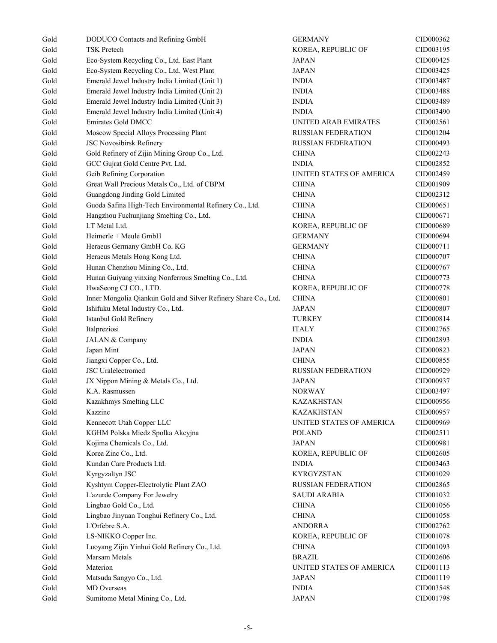| Gold | DODUCO Contacts and Refining GmbH                               | <b>GERMANY</b>            | CID000362 |
|------|-----------------------------------------------------------------|---------------------------|-----------|
| Gold | <b>TSK Pretech</b>                                              | KOREA, REPUBLIC OF        | CID003195 |
| Gold | Eco-System Recycling Co., Ltd. East Plant                       | <b>JAPAN</b>              | CID000425 |
| Gold | Eco-System Recycling Co., Ltd. West Plant                       | <b>JAPAN</b>              | CID003425 |
| Gold | Emerald Jewel Industry India Limited (Unit 1)                   | <b>INDIA</b>              | CID003487 |
| Gold | Emerald Jewel Industry India Limited (Unit 2)                   | <b>INDIA</b>              | CID003488 |
| Gold | Emerald Jewel Industry India Limited (Unit 3)                   | <b>INDIA</b>              | CID003489 |
| Gold | Emerald Jewel Industry India Limited (Unit 4)                   | <b>INDIA</b>              | CID003490 |
| Gold | <b>Emirates Gold DMCC</b>                                       | UNITED ARAB EMIRATES      | CID002561 |
| Gold | Moscow Special Alloys Processing Plant                          | <b>RUSSIAN FEDERATION</b> | CID001204 |
| Gold | JSC Novosibirsk Refinery                                        | <b>RUSSIAN FEDERATION</b> | CID000493 |
| Gold | Gold Refinery of Zijin Mining Group Co., Ltd.                   | <b>CHINA</b>              | CID002243 |
| Gold | GCC Gujrat Gold Centre Pvt. Ltd.                                | <b>INDIA</b>              | CID002852 |
| Gold | Geib Refining Corporation                                       | UNITED STATES OF AMERICA  | CID002459 |
| Gold | Great Wall Precious Metals Co., Ltd. of CBPM                    | <b>CHINA</b>              | CID001909 |
| Gold | Guangdong Jinding Gold Limited                                  | <b>CHINA</b>              | CID002312 |
| Gold | Guoda Safina High-Tech Environmental Refinery Co., Ltd.         | <b>CHINA</b>              | CID000651 |
| Gold | Hangzhou Fuchunjiang Smelting Co., Ltd.                         | <b>CHINA</b>              | CID000671 |
| Gold | LT Metal Ltd.                                                   | KOREA, REPUBLIC OF        | CID000689 |
| Gold | Heimerle + Meule GmbH                                           | <b>GERMANY</b>            | CID000694 |
| Gold | Heraeus Germany GmbH Co. KG                                     | <b>GERMANY</b>            | CID000711 |
| Gold | Heraeus Metals Hong Kong Ltd.                                   | <b>CHINA</b>              | CID000707 |
| Gold | Hunan Chenzhou Mining Co., Ltd.                                 | <b>CHINA</b>              | CID000767 |
| Gold | Hunan Guiyang yinxing Nonferrous Smelting Co., Ltd.             | <b>CHINA</b>              | CID000773 |
| Gold | HwaSeong CJ CO., LTD.                                           | KOREA, REPUBLIC OF        | CID000778 |
| Gold | Inner Mongolia Qiankun Gold and Silver Refinery Share Co., Ltd. | <b>CHINA</b>              | CID000801 |
| Gold | Ishifuku Metal Industry Co., Ltd.                               | <b>JAPAN</b>              | CID000807 |
|      |                                                                 |                           |           |
| Gold | Istanbul Gold Refinery                                          | <b>TURKEY</b>             | CID000814 |
| Gold | Italpreziosi                                                    | <b>ITALY</b>              | CID002765 |
| Gold | JALAN & Company<br>Japan Mint                                   | <b>INDIA</b>              | CID002893 |
| Gold |                                                                 | <b>JAPAN</b>              | CID000823 |
| Gold | Jiangxi Copper Co., Ltd.                                        | <b>CHINA</b>              | CID000855 |
| Gold | JSC Uralelectromed                                              | <b>RUSSIAN FEDERATION</b> | CID000929 |
| Gold | JX Nippon Mining & Metals Co., Ltd.                             | <b>JAPAN</b>              | CID000937 |
| Gold | K.A. Rasmussen                                                  | <b>NORWAY</b>             | CID003497 |
| Gold | Kazakhmys Smelting LLC                                          | KAZAKHSTAN                | CID000956 |
| Gold | Kazzinc                                                         | <b>KAZAKHSTAN</b>         | CID000957 |
| Gold | Kennecott Utah Copper LLC                                       | UNITED STATES OF AMERICA  | CID000969 |
| Gold | KGHM Polska Miedz Spolka Akcyjna                                | <b>POLAND</b>             | CID002511 |
| Gold | Kojima Chemicals Co., Ltd.                                      | <b>JAPAN</b>              | CID000981 |
| Gold | Korea Zinc Co., Ltd.                                            | KOREA, REPUBLIC OF        | CID002605 |
| Gold | Kundan Care Products Ltd.                                       | <b>INDIA</b>              | CID003463 |
| Gold | Kyrgyzaltyn JSC                                                 | <b>KYRGYZSTAN</b>         | CID001029 |
| Gold | Kyshtym Copper-Electrolytic Plant ZAO                           | <b>RUSSIAN FEDERATION</b> | CID002865 |
| Gold | L'azurde Company For Jewelry                                    | <b>SAUDI ARABIA</b>       | CID001032 |
| Gold | Lingbao Gold Co., Ltd.                                          | <b>CHINA</b>              | CID001056 |
| Gold | Lingbao Jinyuan Tonghui Refinery Co., Ltd.                      | <b>CHINA</b>              | CID001058 |
| Gold | L'Orfebre S.A.                                                  | <b>ANDORRA</b>            | CID002762 |
| Gold | LS-NIKKO Copper Inc.                                            | KOREA, REPUBLIC OF        | CID001078 |
| Gold | Luoyang Zijin Yinhui Gold Refinery Co., Ltd.                    | <b>CHINA</b>              | CID001093 |
| Gold | Marsam Metals                                                   | <b>BRAZIL</b>             | CID002606 |
| Gold | Materion                                                        | UNITED STATES OF AMERICA  | CID001113 |
| Gold | Matsuda Sangyo Co., Ltd.                                        | <b>JAPAN</b>              | CID001119 |
| Gold | MD Overseas                                                     | <b>INDIA</b>              | CID003548 |
| Gold | Sumitomo Metal Mining Co., Ltd.                                 | <b>JAPAN</b>              | CID001798 |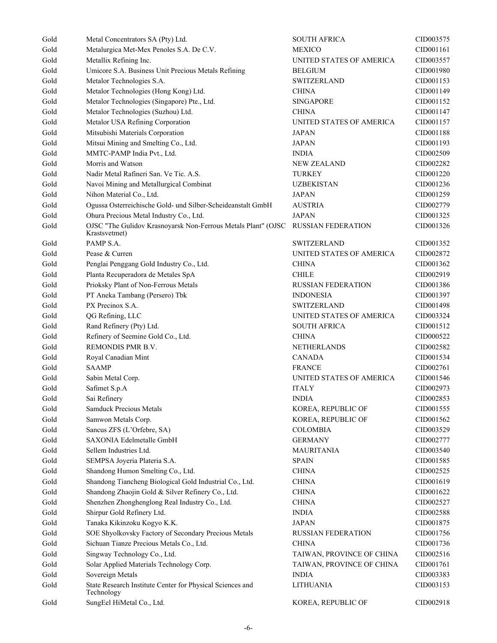| Gold | Metal Concentrators SA (Pty) Ltd.                                              | <b>SOUTH AFRICA</b>       | CID003575 |
|------|--------------------------------------------------------------------------------|---------------------------|-----------|
| Gold | Metalurgica Met-Mex Penoles S.A. De C.V.                                       | <b>MEXICO</b>             | CID001161 |
| Gold | Metallix Refining Inc.                                                         | UNITED STATES OF AMERICA  | CID003557 |
| Gold | Umicore S.A. Business Unit Precious Metals Refining                            | <b>BELGIUM</b>            | CID001980 |
| Gold | Metalor Technologies S.A.                                                      | <b>SWITZERLAND</b>        | CID001153 |
| Gold | Metalor Technologies (Hong Kong) Ltd.                                          | <b>CHINA</b>              | CID001149 |
| Gold | Metalor Technologies (Singapore) Pte., Ltd.                                    | <b>SINGAPORE</b>          | CID001152 |
| Gold | Metalor Technologies (Suzhou) Ltd.                                             | <b>CHINA</b>              | CID001147 |
| Gold | Metalor USA Refining Corporation                                               | UNITED STATES OF AMERICA  | CID001157 |
| Gold | Mitsubishi Materials Corporation                                               | JAPAN                     | CID001188 |
| Gold | Mitsui Mining and Smelting Co., Ltd.                                           | <b>JAPAN</b>              | CID001193 |
| Gold | MMTC-PAMP India Pvt., Ltd.                                                     | <b>INDIA</b>              | CID002509 |
| Gold | Morris and Watson                                                              | <b>NEW ZEALAND</b>        | CID002282 |
| Gold | Nadir Metal Rafineri San. Ve Tic. A.S.                                         | <b>TURKEY</b>             | CID001220 |
| Gold | Navoi Mining and Metallurgical Combinat                                        | <b>UZBEKISTAN</b>         | CID001236 |
| Gold | Nihon Material Co., Ltd.                                                       | <b>JAPAN</b>              | CID001259 |
| Gold | Ogussa Osterreichische Gold- und Silber-Scheideanstalt GmbH                    | <b>AUSTRIA</b>            | CID002779 |
| Gold | Ohura Precious Metal Industry Co., Ltd.                                        | <b>JAPAN</b>              | CID001325 |
| Gold | OJSC "The Gulidov Krasnoyarsk Non-Ferrous Metals Plant" (OJSC<br>Krastsvetmet) | <b>RUSSIAN FEDERATION</b> | CID001326 |
| Gold | PAMP S.A.                                                                      | <b>SWITZERLAND</b>        | CID001352 |
| Gold | Pease & Curren                                                                 | UNITED STATES OF AMERICA  | CID002872 |
| Gold | Penglai Penggang Gold Industry Co., Ltd.                                       | <b>CHINA</b>              | CID001362 |
| Gold | Planta Recuperadora de Metales SpA                                             | <b>CHILE</b>              | CID002919 |
| Gold | Prioksky Plant of Non-Ferrous Metals                                           | <b>RUSSIAN FEDERATION</b> | CID001386 |
| Gold | PT Aneka Tambang (Persero) Tbk                                                 | <b>INDONESIA</b>          | CID001397 |
| Gold | PX Precinox S.A.                                                               | <b>SWITZERLAND</b>        | CID001498 |
| Gold | QG Refining, LLC                                                               | UNITED STATES OF AMERICA  | CID003324 |
| Gold | Rand Refinery (Pty) Ltd.                                                       | <b>SOUTH AFRICA</b>       | CID001512 |
| Gold | Refinery of Seemine Gold Co., Ltd.                                             | <b>CHINA</b>              | CID000522 |
| Gold | REMONDIS PMR B.V.                                                              | NETHERLANDS               | CID002582 |
| Gold | Royal Canadian Mint                                                            | <b>CANADA</b>             | CID001534 |
| Gold | <b>SAAMP</b>                                                                   | <b>FRANCE</b>             | CID002761 |
| Gold | Sabin Metal Corp.                                                              | UNITED STATES OF AMERICA  | CID001546 |
| Gold | Safimet S.p.A                                                                  | <b>ITALY</b>              | CID002973 |
| Gold | Sai Refinery                                                                   | <b>INDIA</b>              | CID002853 |
| Gold | Samduck Precious Metals                                                        | KOREA, REPUBLIC OF        | CID001555 |
| Gold | Samwon Metals Corp.                                                            | KOREA, REPUBLIC OF        | CID001562 |
| Gold | Sancus ZFS (L'Orfebre, SA)                                                     | <b>COLOMBIA</b>           | CID003529 |
| Gold | SAXONIA Edelmetalle GmbH                                                       | <b>GERMANY</b>            | CID002777 |
| Gold | Sellem Industries Ltd.                                                         | <b>MAURITANIA</b>         | CID003540 |
| Gold | SEMPSA Joyeria Plateria S.A.                                                   | <b>SPAIN</b>              | CID001585 |
| Gold | Shandong Humon Smelting Co., Ltd.                                              | <b>CHINA</b>              | CID002525 |
| Gold | Shandong Tiancheng Biological Gold Industrial Co., Ltd.                        | $\rm CHINA$               | CID001619 |
| Gold | Shandong Zhaojin Gold & Silver Refinery Co., Ltd.                              | <b>CHINA</b>              | CID001622 |
| Gold | Shenzhen Zhonghenglong Real Industry Co., Ltd.                                 | <b>CHINA</b>              | CID002527 |
| Gold | Shirpur Gold Refinery Ltd.                                                     | <b>INDIA</b>              | CID002588 |
| Gold | Tanaka Kikinzoku Kogyo K.K.                                                    | <b>JAPAN</b>              | CID001875 |
| Gold | SOE Shyolkovsky Factory of Secondary Precious Metals                           | <b>RUSSIAN FEDERATION</b> | CID001756 |
| Gold | Sichuan Tianze Precious Metals Co., Ltd.                                       | <b>CHINA</b>              | CID001736 |
| Gold | Singway Technology Co., Ltd.                                                   | TAIWAN, PROVINCE OF CHINA | CID002516 |
| Gold | Solar Applied Materials Technology Corp.                                       | TAIWAN, PROVINCE OF CHINA | CID001761 |
| Gold | Sovereign Metals                                                               | <b>INDIA</b>              | CID003383 |
| Gold | State Research Institute Center for Physical Sciences and                      | <b>LITHUANIA</b>          | CID003153 |
| Gold | Technology<br>SungEel HiMetal Co., Ltd.                                        | KOREA, REPUBLIC OF        | CID002918 |
|      |                                                                                |                           |           |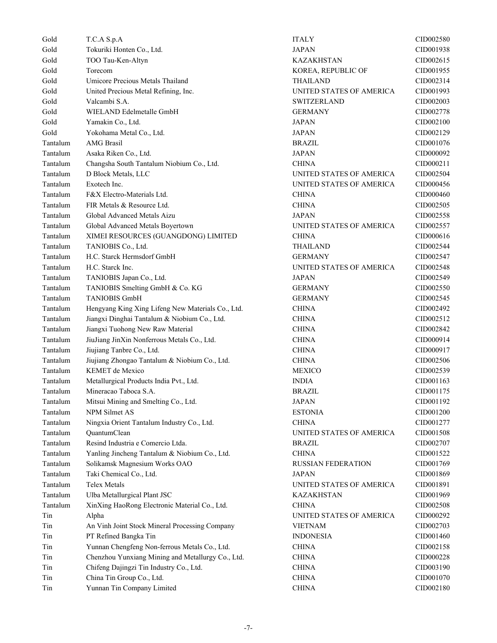Gold T.C.A S.p.A ITALY CID002580 Gold Tokuriki Honten Co., Ltd. JAPAN CID001938 Gold TOO Tau-Ken-Altyn CID002615 Gold Torecom KOREA, REPUBLIC OF CID001955 Gold Umicore Precious Metals Thailand THAILAND CID002314 Gold United Precious Metal Refining, Inc. UNITED STATES OF AMERICA CID001993 Gold Valcambi S.A. SWITZERLAND CID002003 Gold WIELAND Edelmetalle GmbH GERMANY GERMANY CID002778 Gold Yamakin Co., Ltd. 2000 and 2000 and 2000 and 30 and 30 and 30 and 30 and 30 and 30 and 40 and 40 and 40 and 40 and 40 and 40 and 40 and 40 and 40 and 40 and 40 and 40 and 40 and 40 and 40 and 40 and 40 and 40 and 40 a Gold Yokohama Metal Co., Ltd. Sand Co., Ltd. Sand JAPAN JAPAN CID002129 Tantalum AMG Brasil BRAZIL CID001076 Tantalum Asaka Riken Co., Ltd. JAPAN JAPAN CID000092 Tantalum Changsha South Tantalum Niobium Co., Ltd. CHINA CID000211 Tantalum D Block Metals, LLC UNITED STATES OF AMERICA CID002504 Tantalum Exotech Inc. UNITED STATES OF AMERICA CID000456 Tantalum F&X Electro-Materials Ltd. CHINA CID000460 Tantalum FIR Metals & Resource Ltd. CHINA CID002505 Tantalum Global Advanced Metals Aizu JAPAN CID002558 Tantalum Global Advanced Metals Boyertown UNITED STATES OF AMERICA CID002557 Tantalum XIMEI RESOURCES (GUANGDONG) LIMITED CHINA CID000616 Tantalum TANIOBIS Co., Ltd. THAILAND CID002544 Tantalum H.C. Starck Hermsdorf GmbH GERMANY GERMANY CID002547 Tantalum H.C. Starck Inc. UNITED STATES OF AMERICA CID002548 Tantalum TANIOBIS Japan Co., Ltd. JAPAN JAPAN CID002549 Tantalum TANIOBIS Smelting GmbH & Co. KG GERMANY GERMANY CID002550 Tantalum TANIOBIS GmbH GERMANY GERMANY CID002545 Tantalum Hengyang King Xing Lifeng New Materials Co., Ltd. CHINA CID002492 Tantalum Jiangxi Dinghai Tantalum & Niobium Co., Ltd. CHINA CID002512 Tantalum Jiangxi Tuohong New Raw Material CHINA CID002842 Tantalum JiuJiang JinXin Nonferrous Metals Co., Ltd. CHINA CID000914 Tantalum Jiujiang Tanbre Co., Ltd. CHINA CID000917 Tantalum Jiujiang Zhongao Tantalum & Niobium Co., Ltd. CHINA CID002506 Tantalum KEMET de Mexico MEXICO CID002539 Tantalum Metallurgical Products India Pvt., Ltd. INDIA INDIA CID001163 Tantalum Mineracao Taboca S.A. BRAZIL CID001175 Tantalum Mitsui Mining and Smelting Co., Ltd. JAPAN JAPAN CID001192 Tantalum NPM Silmet AS ESTONIA ESTONIA CID001200 Tantalum Ningxia Orient Tantalum Industry Co., Ltd. CHINA CHINA CID001277 Tantalum QuantumClean UNITED STATES OF AMERICA CID001508 Tantalum Resind Industria e Comercio Ltda. BRAZIL CID002707 Tantalum Yanling Jincheng Tantalum & Niobium Co., Ltd. CHINA CID001522 Tantalum Solikamsk Magnesium Works OAO RUSSIAN FEDERATION CID001769 Tantalum Taki Chemical Co., Ltd. San Annual Co., Ltd. San Annual CID001869 and JAPAN CID001869 Tantalum Telex Metals UNITED STATES OF AMERICA CID001891 Tantalum Ulba Metallurgical Plant JSC 6 1996 1997 KAZAKHSTAN CID001969 Tantalum XinXing HaoRong Electronic Material Co., Ltd. CHINA CID002508 Tin Alpha Alpha Alpha UNITED STATES OF AMERICA CID000292 Tin An Vinh Joint Stock Mineral Processing Company VIETNAM CID002703 Tin PT Refined Bangka Tin INDONESIA CID001460 Tin Yunnan Chengfeng Non-ferrous Metals Co., Ltd. CHINA CID002158 Tin Chenzhou Yunxiang Mining and Metallurgy Co., Ltd. CHINA CID000228 Tin Chifeng Dajingzi Tin Industry Co., Ltd. CHINA CID003190 Tin China Tin Group Co., Ltd. CHINA CID001070 Tin Yunnan Tin Company Limited CHINA CID002180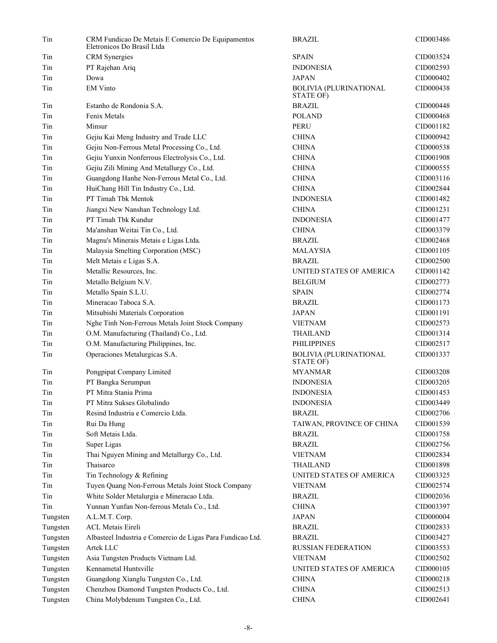| Tin      | CRM Fundicao De Metais E Comercio De Equipamentos<br>Eletronicos Do Brasil Ltda | <b>BRAZIL</b>                              | CID003486 |
|----------|---------------------------------------------------------------------------------|--------------------------------------------|-----------|
| Tin      | <b>CRM</b> Synergies                                                            | <b>SPAIN</b>                               | CID003524 |
| Tin      | PT Rajehan Ariq                                                                 | <b>INDONESIA</b>                           | CID002593 |
| Tin      | Dowa                                                                            | <b>JAPAN</b>                               | CID000402 |
| Tin      | <b>EM Vinto</b>                                                                 | <b>BOLIVIA (PLURINATIONAL</b><br>STATE OF) | CID000438 |
| Tin      | Estanho de Rondonia S.A.                                                        | <b>BRAZIL</b>                              | CID000448 |
| Tin      | Fenix Metals                                                                    | <b>POLAND</b>                              | CID000468 |
| Tin      | Minsur                                                                          | <b>PERU</b>                                | CID001182 |
| Tin      | Gejiu Kai Meng Industry and Trade LLC                                           | <b>CHINA</b>                               | CID000942 |
| Tin      | Gejiu Non-Ferrous Metal Processing Co., Ltd.                                    | <b>CHINA</b>                               | CID000538 |
| Tin      | Gejiu Yunxin Nonferrous Electrolysis Co., Ltd.                                  | <b>CHINA</b>                               | CID001908 |
| Tin      | Gejiu Zili Mining And Metallurgy Co., Ltd.                                      | <b>CHINA</b>                               | CID000555 |
| Tin      | Guangdong Hanhe Non-Ferrous Metal Co., Ltd.                                     | <b>CHINA</b>                               | CID003116 |
| Tin      | HuiChang Hill Tin Industry Co., Ltd.                                            | <b>CHINA</b>                               | CID002844 |
| Tin      | PT Timah Tbk Mentok                                                             | <b>INDONESIA</b>                           | CID001482 |
| Tin      | Jiangxi New Nanshan Technology Ltd.                                             | <b>CHINA</b>                               | CID001231 |
| Tin      | PT Timah Tbk Kundur                                                             | <b>INDONESIA</b>                           | CID001477 |
| Tin      | Ma'anshan Weitai Tin Co., Ltd.                                                  | <b>CHINA</b>                               | CID003379 |
| Tin      | Magnu's Minerais Metais e Ligas Ltda.                                           | <b>BRAZIL</b>                              | CID002468 |
| Tin      | Malaysia Smelting Corporation (MSC)                                             | <b>MALAYSIA</b>                            | CID001105 |
| Tin      | Melt Metais e Ligas S.A.                                                        | <b>BRAZIL</b>                              | CID002500 |
| Tin      | Metallic Resources, Inc.                                                        | UNITED STATES OF AMERICA                   | CID001142 |
| Tin      | Metallo Belgium N.V.                                                            | <b>BELGIUM</b>                             | CID002773 |
| Tin      | Metallo Spain S.L.U.                                                            | <b>SPAIN</b>                               | CID002774 |
| Tin      | Mineracao Taboca S.A.                                                           | <b>BRAZIL</b>                              | CID001173 |
| Tin      | Mitsubishi Materials Corporation                                                | <b>JAPAN</b>                               | CID001191 |
| Tin      | Nghe Tinh Non-Ferrous Metals Joint Stock Company                                | <b>VIETNAM</b>                             | CID002573 |
| Tin      | O.M. Manufacturing (Thailand) Co., Ltd.                                         | <b>THAILAND</b>                            | CID001314 |
| Tin      | O.M. Manufacturing Philippines, Inc.                                            | <b>PHILIPPINES</b>                         | CID002517 |
| Tin      | Operaciones Metalurgicas S.A.                                                   | <b>BOLIVIA (PLURINATIONAL</b><br>STATE OF) | CID001337 |
| Tin      | Pongpipat Company Limited                                                       | <b>MYANMAR</b>                             | CID003208 |
| Tin      | PT Bangka Serumpun                                                              | <b>INDONESIA</b>                           | CID003205 |
| Tin      | PT Mitra Stania Prima                                                           | <b>INDONESIA</b>                           | CID001453 |
| Tin      | PT Mitra Sukses Globalindo                                                      | <b>INDONESIA</b>                           | CID003449 |
| Tin      | Resind Industria e Comercio Ltda.                                               | <b>BRAZIL</b>                              | CID002706 |
| Tin      | Rui Da Hung                                                                     | TAIWAN, PROVINCE OF CHINA                  | CID001539 |
| Tin      | Soft Metais Ltda.                                                               | <b>BRAZIL</b>                              | CID001758 |
| Tin      | Super Ligas                                                                     | <b>BRAZIL</b>                              | CID002756 |
| Tin      | Thai Nguyen Mining and Metallurgy Co., Ltd.                                     | <b>VIETNAM</b>                             | CID002834 |
| Tin      | Thaisarco                                                                       | <b>THAILAND</b>                            | CID001898 |
| Tin      | Tin Technology & Refining                                                       | UNITED STATES OF AMERICA                   | CID003325 |
| Tin      | Tuyen Quang Non-Ferrous Metals Joint Stock Company                              | <b>VIETNAM</b>                             | CID002574 |
| Tin      | White Solder Metalurgia e Mineracao Ltda.                                       | <b>BRAZIL</b>                              | CID002036 |
| Tin      | Yunnan Yunfan Non-ferrous Metals Co., Ltd.                                      | <b>CHINA</b>                               | CID003397 |
| Tungsten | A.L.M.T. Corp.                                                                  | <b>JAPAN</b>                               | CID000004 |
| Tungsten | <b>ACL Metais Eireli</b>                                                        | <b>BRAZIL</b>                              | CID002833 |
| Tungsten | Albasteel Industria e Comercio de Ligas Para Fundicao Ltd.                      | <b>BRAZIL</b>                              | CID003427 |
| Tungsten | Artek LLC                                                                       | <b>RUSSIAN FEDERATION</b>                  | CID003553 |
| Tungsten | Asia Tungsten Products Vietnam Ltd.                                             | <b>VIETNAM</b>                             | CID002502 |
| Tungsten | Kennametal Huntsville                                                           | UNITED STATES OF AMERICA                   | CID000105 |
| Tungsten | Guangdong Xianglu Tungsten Co., Ltd.                                            | <b>CHINA</b>                               | CID000218 |
| Tungsten | Chenzhou Diamond Tungsten Products Co., Ltd.                                    | <b>CHINA</b>                               | CID002513 |
| Tungsten | China Molybdenum Tungsten Co., Ltd.                                             | <b>CHINA</b>                               | CID002641 |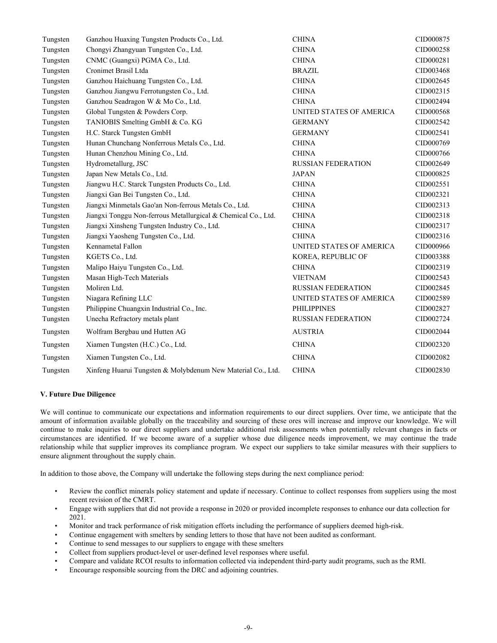| Tungsten | Ganzhou Huaxing Tungsten Products Co., Ltd.                   | <b>CHINA</b>              | CID000875 |
|----------|---------------------------------------------------------------|---------------------------|-----------|
| Tungsten | Chongyi Zhangyuan Tungsten Co., Ltd.                          | <b>CHINA</b>              | CID000258 |
| Tungsten | CNMC (Guangxi) PGMA Co., Ltd.                                 | <b>CHINA</b>              | CID000281 |
| Tungsten | Cronimet Brasil Ltda                                          | <b>BRAZIL</b>             | CID003468 |
| Tungsten | Ganzhou Haichuang Tungsten Co., Ltd.                          | <b>CHINA</b>              | CID002645 |
| Tungsten | Ganzhou Jiangwu Ferrotungsten Co., Ltd.                       | <b>CHINA</b>              | CID002315 |
| Tungsten | Ganzhou Seadragon W & Mo Co., Ltd.                            | <b>CHINA</b>              | CID002494 |
| Tungsten | Global Tungsten & Powders Corp.                               | UNITED STATES OF AMERICA  | CID000568 |
| Tungsten | TANIOBIS Smelting GmbH & Co. KG                               | <b>GERMANY</b>            | CID002542 |
| Tungsten | H.C. Starck Tungsten GmbH                                     | <b>GERMANY</b>            | CID002541 |
| Tungsten | Hunan Chunchang Nonferrous Metals Co., Ltd.                   | <b>CHINA</b>              | CID000769 |
| Tungsten | Hunan Chenzhou Mining Co., Ltd.                               | <b>CHINA</b>              | CID000766 |
| Tungsten | Hydrometallurg, JSC                                           | <b>RUSSIAN FEDERATION</b> | CID002649 |
| Tungsten | Japan New Metals Co., Ltd.                                    | <b>JAPAN</b>              | CID000825 |
| Tungsten | Jiangwu H.C. Starck Tungsten Products Co., Ltd.               | <b>CHINA</b>              | CID002551 |
| Tungsten | Jiangxi Gan Bei Tungsten Co., Ltd.                            | <b>CHINA</b>              | CID002321 |
| Tungsten | Jiangxi Minmetals Gao'an Non-ferrous Metals Co., Ltd.         | <b>CHINA</b>              | CID002313 |
| Tungsten | Jiangxi Tonggu Non-ferrous Metallurgical & Chemical Co., Ltd. | <b>CHINA</b>              | CID002318 |
| Tungsten | Jiangxi Xinsheng Tungsten Industry Co., Ltd.                  | <b>CHINA</b>              | CID002317 |
| Tungsten | Jiangxi Yaosheng Tungsten Co., Ltd.                           | <b>CHINA</b>              | CID002316 |
| Tungsten | Kennametal Fallon                                             | UNITED STATES OF AMERICA  | CID000966 |
| Tungsten | KGETS Co., Ltd.                                               | KOREA, REPUBLIC OF        | CID003388 |
| Tungsten | Malipo Haiyu Tungsten Co., Ltd.                               | <b>CHINA</b>              | CID002319 |
| Tungsten | Masan High-Tech Materials                                     | <b>VIETNAM</b>            | CID002543 |
| Tungsten | Moliren Ltd.                                                  | <b>RUSSIAN FEDERATION</b> | CID002845 |
| Tungsten | Niagara Refining LLC                                          | UNITED STATES OF AMERICA  | CID002589 |
| Tungsten | Philippine Chuangxin Industrial Co., Inc.                     | <b>PHILIPPINES</b>        | CID002827 |
| Tungsten | Unecha Refractory metals plant                                | <b>RUSSIAN FEDERATION</b> | CID002724 |
| Tungsten | Wolfram Bergbau und Hutten AG                                 | <b>AUSTRIA</b>            | CID002044 |
| Tungsten | Xiamen Tungsten (H.C.) Co., Ltd.                              | <b>CHINA</b>              | CID002320 |
| Tungsten | Xiamen Tungsten Co., Ltd.                                     | <b>CHINA</b>              | CID002082 |
| Tungsten | Xinfeng Huarui Tungsten & Molybdenum New Material Co., Ltd.   | <b>CHINA</b>              | CID002830 |

#### **V. Future Due Diligence**

We will continue to communicate our expectations and information requirements to our direct suppliers. Over time, we anticipate that the amount of information available globally on the traceability and sourcing of these ores will increase and improve our knowledge. We will continue to make inquiries to our direct suppliers and undertake additional risk assessments when potentially relevant changes in facts or circumstances are identified. If we become aware of a supplier whose due diligence needs improvement, we may continue the trade relationship while that supplier improves its compliance program. We expect our suppliers to take similar measures with their suppliers to ensure alignment throughout the supply chain.

In addition to those above, the Company will undertake the following steps during the next compliance period:

- Review the conflict minerals policy statement and update if necessary. Continue to collect responses from suppliers using the most recent revision of the CMRT.
- Engage with suppliers that did not provide a response in 2020 or provided incomplete responses to enhance our data collection for 2021.
- Monitor and track performance of risk mitigation efforts including the performance of suppliers deemed high-risk.
- Continue engagement with smelters by sending letters to those that have not been audited as conformant.
- Continue to send messages to our suppliers to engage with these smelters
- Collect from suppliers product-level or user-defined level responses where useful.
- Compare and validate RCOI results to information collected via independent third-party audit programs, such as the RMI.
- Encourage responsible sourcing from the DRC and adjoining countries.